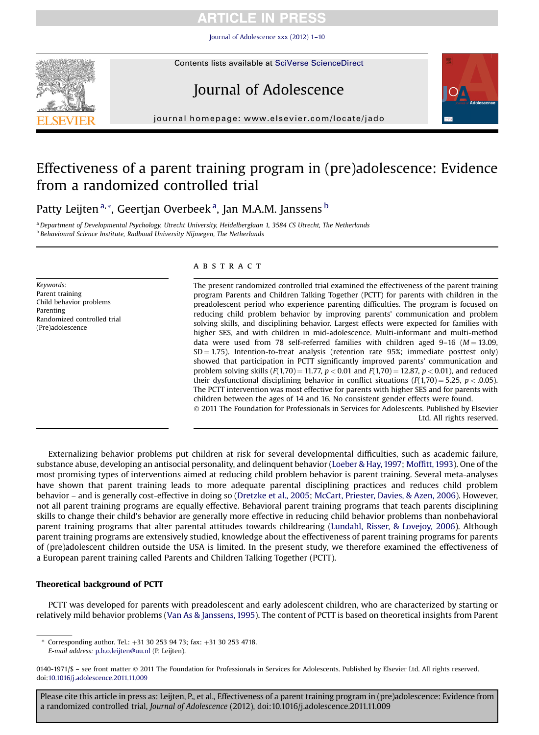# ICLE IN I

[Journal of Adolescence xxx \(2012\) 1](http://dx.doi.org/10.1016/j.adolescence.2011.11.009)–10



### Contents lists available at [SciVerse ScienceDirect](www.sciencedirect.com/science/journal/01401971)

# Journal of Adolescence



journal homepage: [www.elsevier.com/locate/jado](http://www.elsevier.com/locate/jado)

# Effectiveness of a parent training program in (pre)adolescence: Evidence from a randomized controlled trial

Patty Leijten<sup>a,</sup>\*, Geertjan Overbeek<sup>a</sup>, Jan M.A.M. Janssens <sup>b</sup>

<sup>a</sup> Department of Developmental Psychology, Utrecht University, Heidelberglaan 1, 3584 CS Utrecht, The Netherlands **b Behavioural Science Institute, Radboud University Nijmegen, The Netherlands** 

Keywords: Parent training Child behavior problems Parenting Randomized controlled trial (Pre)adolescence

### **ABSTRACT**

The present randomized controlled trial examined the effectiveness of the parent training program Parents and Children Talking Together (PCTT) for parents with children in the preadolescent period who experience parenting difficulties. The program is focused on reducing child problem behavior by improving parents' communication and problem solving skills, and disciplining behavior. Largest effects were expected for families with higher SES, and with children in mid-adolescence. Multi-informant and multi-method data were used from 78 self-referred families with children aged 9-16 ( $M = 13.09$ ,  $SD = 1.75$ ). Intention-to-treat analysis (retention rate 95%; immediate posttest only) showed that participation in PCTT significantly improved parents' communication and problem solving skills  $(F(1,70) = 11.77, p < 0.01$  and  $F(1,70) = 12.87, p < 0.01$ ), and reduced their dysfunctional disciplining behavior in conflict situations ( $F(1,70) = 5.25$ ,  $p < .0.05$ ). The PCTT intervention was most effective for parents with higher SES and for parents with children between the ages of 14 and 16. No consistent gender effects were found. 2011 The Foundation for Professionals in Services for Adolescents. Published by Elsevier

Ltd. All rights reserved.

Externalizing behavior problems put children at risk for several developmental difficulties, such as academic failure, substance abuse, developing an antisocial personality, and delinquent behavior ([Loeber & Hay, 1997;](#page-8-0) Moffi[tt, 1993](#page-8-0)). One of the most promising types of interventions aimed at reducing child problem behavior is parent training. Several meta-analyses have shown that parent training leads to more adequate parental disciplining practices and reduces child problem behavior – and is generally cost-effective in doing so ([Dretzke et al., 2005;](#page-8-0) [McCart, Priester, Davies, & Azen, 2006](#page-8-0)). However, not all parent training programs are equally effective. Behavioral parent training programs that teach parents disciplining skills to change their child's behavior are generally more effective in reducing child behavior problems than nonbehavioral parent training programs that alter parental attitudes towards childrearing ([Lundahl, Risser, & Lovejoy, 2006\)](#page-8-0). Although parent training programs are extensively studied, knowledge about the effectiveness of parent training programs for parents of (pre)adolescent children outside the USA is limited. In the present study, we therefore examined the effectiveness of a European parent training called Parents and Children Talking Together (PCTT).

# Theoretical background of PCTT

PCTT was developed for parents with preadolescent and early adolescent children, who are characterized by starting or relatively mild behavior problems ([Van As & Janssens, 1995\)](#page-9-0). The content of PCTT is based on theoretical insights from Parent

<sup>\*</sup> Corresponding author. Tel.:  $+31$  30 253 94 73; fax:  $+31$  30 253 4718. E-mail address: [p.h.o.leijten@uu.nl](mailto:p.h.o.leijten@uu.nl) (P. Leijten).

<sup>0140-1971/\$ -</sup> see front matter © 2011 The Foundation for Professionals in Services for Adolescents. Published by Elsevier Ltd. All rights reserved. doi:[10.1016/j.adolescence.2011.11.009](http://dx.doi.org/10.1016/j.adolescence.2011.11.009)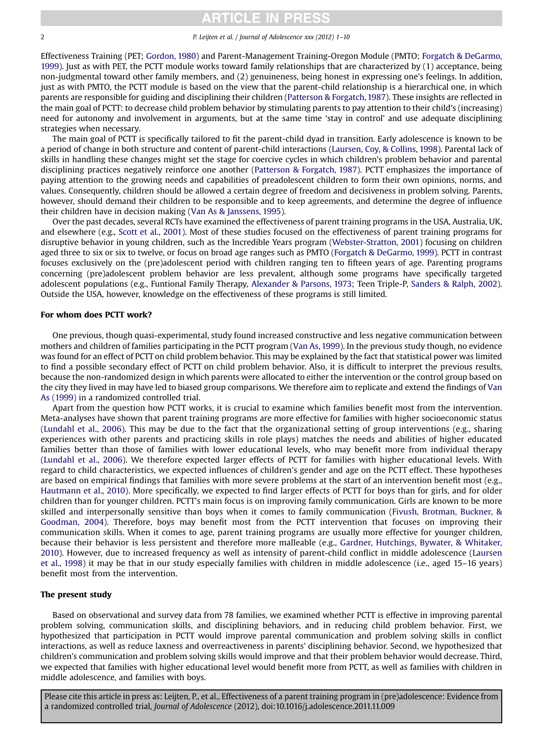# **TICLE IN PRES**

#### 2 P. Leijten et al. / Journal of Adolescence xxx (2012) 1–10

Effectiveness Training (PET; [Gordon, 1980](#page-8-0)) and Parent-Management Training-Oregon Module (PMTO; [Forgatch & DeGarmo,](#page-8-0) [1999\)](#page-8-0). Just as with PET, the PCTT module works toward family relationships that are characterized by (1) acceptance, being non-judgmental toward other family members, and (2) genuineness, being honest in expressing one's feelings. In addition, just as with PMTO, the PCTT module is based on the view that the parent-child relationship is a hierarchical one, in which parents are responsible for guiding and disciplining their children [\(Patterson & Forgatch, 1987\)](#page-9-0). These insights are reflected in the main goal of PCTT: to decrease child problem behavior by stimulating parents to pay attention to their child's (increasing) need for autonomy and involvement in arguments, but at the same time 'stay in control' and use adequate disciplining strategies when necessary.

The main goal of PCTT is specifically tailored to fit the parent-child dyad in transition. Early adolescence is known to be a period of change in both structure and content of parent-child interactions [\(Laursen, Coy, & Collins, 1998](#page-8-0)). Parental lack of skills in handling these changes might set the stage for coercive cycles in which children's problem behavior and parental disciplining practices negatively reinforce one another [\(Patterson & Forgatch, 1987\)](#page-9-0). PCTT emphasizes the importance of paying attention to the growing needs and capabilities of preadolescent children to form their own opinions, norms, and values. Consequently, children should be allowed a certain degree of freedom and decisiveness in problem solving. Parents, however, should demand their children to be responsible and to keep agreements, and determine the degree of influence their children have in decision making ([Van As & Janssens, 1995\)](#page-9-0).

Over the past decades, several RCTs have examined the effectiveness of parent training programs in the USA, Australia, UK, and elsewhere (e.g., [Scott et al., 2001\)](#page-9-0). Most of these studies focused on the effectiveness of parent training programs for disruptive behavior in young children, such as the Incredible Years program ([Webster-Stratton, 2001](#page-9-0)) focusing on children aged three to six or six to twelve, or focus on broad age ranges such as PMTO ([Forgatch & DeGarmo, 1999\)](#page-8-0). PCTT in contrast focuses exclusively on the (pre)adolescent period with children ranging ten to fifteen years of age. Parenting programs concerning (pre)adolescent problem behavior are less prevalent, although some programs have specifically targeted adolescent populations (e.g., Funtional Family Therapy, [Alexander & Parsons, 1973](#page-8-0); Teen Triple-P, [Sanders & Ralph, 2002](#page-9-0)). Outside the USA, however, knowledge on the effectiveness of these programs is still limited.

### For whom does PCTT work?

One previous, though quasi-experimental, study found increased constructive and less negative communication between mothers and children of families participating in the PCTT program [\(Van As, 1999\)](#page-9-0). In the previous study though, no evidence was found for an effect of PCTT on child problem behavior. This may be explained by the fact that statistical power was limited to find a possible secondary effect of PCTT on child problem behavior. Also, it is difficult to interpret the previous results, because the non-randomized design in which parents were allocated to either the intervention or the control group based on the city they lived in may have led to biased group comparisons. We therefore aim to replicate and extend the findings of [Van](#page-9-0) [As \(1999\)](#page-9-0) in a randomized controlled trial.

Apart from the question how PCTT works, it is crucial to examine which families benefit most from the intervention. Meta-analyses have shown that parent training programs are more effective for families with higher socioeconomic status [\(Lundahl et al., 2006\)](#page-8-0). This may be due to the fact that the organizational setting of group interventions (e.g., sharing experiences with other parents and practicing skills in role plays) matches the needs and abilities of higher educated families better than those of families with lower educational levels, who may benefit more from individual therapy [\(Lundahl et al., 2006\)](#page-8-0). We therefore expected larger effects of PCTT for families with higher educational levels. With regard to child characteristics, we expected influences of children's gender and age on the PCTT effect. These hypotheses are based on empirical findings that families with more severe problems at the start of an intervention benefit most (e.g., [Hautmann et al., 2010](#page-8-0)). More specifically, we expected to find larger effects of PCTT for boys than for girls, and for older children than for younger children. PCTT's main focus is on improving family communication. Girls are known to be more skilled and interpersonally sensitive than boys when it comes to family communication [\(Fivush, Brotman, Buckner, &](#page-8-0) [Goodman, 2004\)](#page-8-0). Therefore, boys may benefit most from the PCTT intervention that focuses on improving their communication skills. When it comes to age, parent training programs are usually more effective for younger children, because their behavior is less persistent and therefore more malleable (e.g., [Gardner, Hutchings, Bywater, & Whitaker,](#page-8-0) [2010\)](#page-8-0). However, due to increased frequency as well as intensity of parent-child conflict in middle adolescence [\(Laursen](#page-8-0) [et al., 1998](#page-8-0)) it may be that in our study especially families with children in middle adolescence (i.e., aged 15–16 years) benefit most from the intervention.

# The present study

Based on observational and survey data from 78 families, we examined whether PCTT is effective in improving parental problem solving, communication skills, and disciplining behaviors, and in reducing child problem behavior. First, we hypothesized that participation in PCTT would improve parental communication and problem solving skills in conflict interactions, as well as reduce laxness and overreactiveness in parents' disciplining behavior. Second, we hypothesized that children's communication and problem solving skills would improve and that their problem behavior would decrease. Third, we expected that families with higher educational level would benefit more from PCTT, as well as families with children in middle adolescence, and families with boys.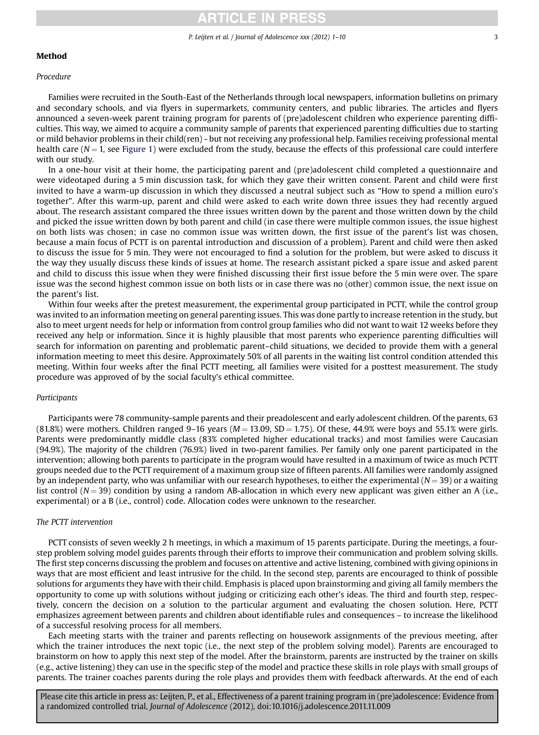# Method

# Procedure

Families were recruited in the South-East of the Netherlands through local newspapers, information bulletins on primary and secondary schools, and via flyers in supermarkets, community centers, and public libraries. The articles and flyers announced a seven-week parent training program for parents of (pre)adolescent children who experience parenting difficulties. This way, we aimed to acquire a community sample of parents that experienced parenting difficulties due to starting or mild behavior problems in their child(ren) - but not receiving any professional help. Families receiving professional mental health care  $(N = 1$ , see [Figure 1](#page-3-0)) were excluded from the study, because the effects of this professional care could interfere with our study.

In a one-hour visit at their home, the participating parent and (pre)adolescent child completed a questionnaire and were videotaped during a 5 min discussion task, for which they gave their written consent. Parent and child were first invited to have a warm-up discussion in which they discussed a neutral subject such as "How to spend a million euro's together". After this warm-up, parent and child were asked to each write down three issues they had recently argued about. The research assistant compared the three issues written down by the parent and those written down by the child and picked the issue written down by both parent and child (in case there were multiple common issues, the issue highest on both lists was chosen; in case no common issue was written down, the first issue of the parent's list was chosen, because a main focus of PCTT is on parental introduction and discussion of a problem). Parent and child were then asked to discuss the issue for 5 min. They were not encouraged to find a solution for the problem, but were asked to discuss it the way they usually discuss these kinds of issues at home. The research assistant picked a spare issue and asked parent and child to discuss this issue when they were finished discussing their first issue before the 5 min were over. The spare issue was the second highest common issue on both lists or in case there was no (other) common issue, the next issue on the parent's list.

Within four weeks after the pretest measurement, the experimental group participated in PCTT, while the control group was invited to an information meeting on general parenting issues. This was done partly to increase retention in the study, but also to meet urgent needs for help or information from control group families who did not want to wait 12 weeks before they received any help or information. Since it is highly plausible that most parents who experience parenting difficulties will search for information on parenting and problematic parent–child situations, we decided to provide them with a general information meeting to meet this desire. Approximately 50% of all parents in the waiting list control condition attended this meeting. Within four weeks after the final PCTT meeting, all families were visited for a posttest measurement. The study procedure was approved of by the social faculty's ethical committee.

### Participants

Participants were 78 community-sample parents and their preadolescent and early adolescent children. Of the parents, 63  $(81.8%)$  were mothers. Children ranged 9–16 years ( $M = 13.09$ , SD = 1.75). Of these, 44.9% were boys and 55.1% were girls. Parents were predominantly middle class (83% completed higher educational tracks) and most families were Caucasian (94.9%). The majority of the children (76.9%) lived in two-parent families. Per family only one parent participated in the intervention; allowing both parents to participate in the program would have resulted in a maximum of twice as much PCTT groups needed due to the PCTT requirement of a maximum group size of fifteen parents. All families were randomly assigned by an independent party, who was unfamiliar with our research hypotheses, to either the experimental  $(N = 39)$  or a waiting list control ( $N = 39$ ) condition by using a random AB-allocation in which every new applicant was given either an A (i.e., experimental) or a B (i.e., control) code. Allocation codes were unknown to the researcher.

# The PCTT intervention

PCTT consists of seven weekly 2 h meetings, in which a maximum of 15 parents participate. During the meetings, a fourstep problem solving model guides parents through their efforts to improve their communication and problem solving skills. The first step concerns discussing the problem and focuses on attentive and active listening, combined with giving opinions in ways that are most efficient and least intrusive for the child. In the second step, parents are encouraged to think of possible solutions for arguments they have with their child. Emphasis is placed upon brainstorming and giving all family members the opportunity to come up with solutions without judging or criticizing each other's ideas. The third and fourth step, respectively, concern the decision on a solution to the particular argument and evaluating the chosen solution. Here, PCTT emphasizes agreement between parents and children about identifiable rules and consequences – to increase the likelihood of a successful resolving process for all members.

Each meeting starts with the trainer and parents reflecting on housework assignments of the previous meeting, after which the trainer introduces the next topic (i.e., the next step of the problem solving model). Parents are encouraged to brainstorm on how to apply this next step of the model. After the brainstorm, parents are instructed by the trainer on skills (e.g., active listening) they can use in the specific step of the model and practice these skills in role plays with small groups of parents. The trainer coaches parents during the role plays and provides them with feedback afterwards. At the end of each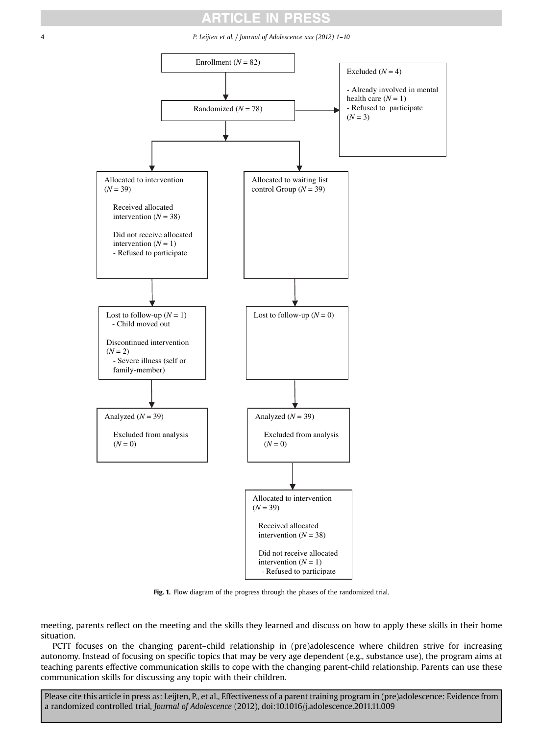# **RTICLE IN PRES**

4 P. Leijten et al. / Journal of Adolescence xxx (2012) 1–10

<span id="page-3-0"></span>

Fig. 1. Flow diagram of the progress through the phases of the randomized trial.

meeting, parents reflect on the meeting and the skills they learned and discuss on how to apply these skills in their home situation.

PCTT focuses on the changing parent–child relationship in (pre)adolescence where children strive for increasing autonomy. Instead of focusing on specific topics that may be very age dependent (e.g., substance use), the program aims at teaching parents effective communication skills to cope with the changing parent-child relationship. Parents can use these communication skills for discussing any topic with their children.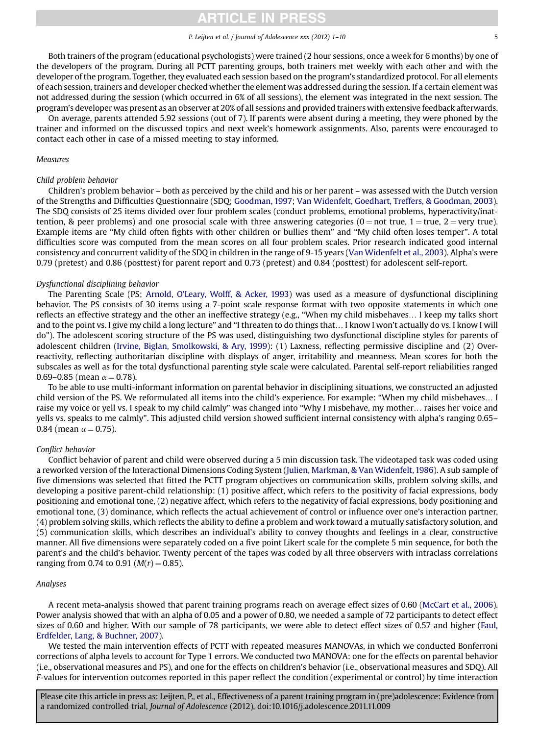# **TICLE IN PRE**

#### P. Leijten et al. / Journal of Adolescence xxx (2012) 1–10 5

Both trainers of the program (educational psychologists) were trained (2 hour sessions, once a week for 6 months) by one of the developers of the program. During all PCTT parenting groups, both trainers met weekly with each other and with the developer of the program. Together, they evaluated each session based on the program's standardized protocol. For all elements of each session, trainers and developer checked whether the element was addressed during the session. If a certain element was not addressed during the session (which occurred in 6% of all sessions), the element was integrated in the next session. The program's developer was present as an observer at 20% of all sessions and provided trainers with extensive feedback afterwards.

On average, parents attended 5.92 sessions (out of 7). If parents were absent during a meeting, they were phoned by the trainer and informed on the discussed topics and next week's homework assignments. Also, parents were encouraged to contact each other in case of a missed meeting to stay informed.

# Measures

# Child problem behavior

Children's problem behavior – both as perceived by the child and his or her parent – was assessed with the Dutch version of the Strengths and Difficulties Questionnaire (SDQ; [Goodman, 1997](#page-8-0); [Van Widenfelt, Goedhart, Treffers, & Goodman, 2003](#page-9-0)). The SDQ consists of 25 items divided over four problem scales (conduct problems, emotional problems, hyperactivity/inattention, & peer problems) and one prosocial scale with three answering categories ( $0 =$  not true,  $1 =$  true,  $2 =$  very true). Example items are "My child often fights with other children or bullies them" and "My child often loses temper". A total difficulties score was computed from the mean scores on all four problem scales. Prior research indicated good internal consistency and concurrent validity of the SDQ in children in the range of 9-15 years [\(Van Widenfelt et al., 2003](#page-9-0)). Alpha's were 0.79 (pretest) and 0.86 (posttest) for parent report and 0.73 (pretest) and 0.84 (posttest) for adolescent self-report.

### Dysfunctional disciplining behavior

The Parenting Scale (PS; Arnold, O'[Leary, Wolff, & Acker, 1993\)](#page-8-0) was used as a measure of dysfunctional disciplining behavior. The PS consists of 30 items using a 7-point scale response format with two opposite statements in which one reflects an effective strategy and the other an ineffective strategy (e.g., "When my child misbehaves. I keep my talks short and to the point vs. I give my child a long lecture" and "I threaten to do things that. I know I won't actually do vs. I know I will do"). The adolescent scoring structure of the PS was used, distinguishing two dysfunctional discipline styles for parents of adolescent children [\(Irvine, Biglan, Smolkowski, & Ary, 1999\)](#page-8-0): (1) Laxness, reflecting permissive discipline and (2) Overreactivity, reflecting authoritarian discipline with displays of anger, irritability and meanness. Mean scores for both the subscales as well as for the total dysfunctional parenting style scale were calculated. Parental self-report reliabilities ranged 0.69–0.85 (mean  $\alpha = 0.78$ ).

To be able to use multi-informant information on parental behavior in disciplining situations, we constructed an adjusted child version of the PS. We reformulated all items into the child's experience. For example: "When my child misbehaves. I raise my voice or yell vs. I speak to my child calmly" was changed into "Why I misbehave, my mother. raises her voice and yells vs. speaks to me calmly". This adjusted child version showed sufficient internal consistency with alpha's ranging 0.65– 0.84 (mean  $\alpha = 0.75$ ).

# Conflict behavior

Conflict behavior of parent and child were observed during a 5 min discussion task. The videotaped task was coded using a reworked version of the Interactional Dimensions Coding System ([Julien, Markman, & Van Widenfelt, 1986](#page-8-0)). A sub sample of five dimensions was selected that fitted the PCTT program objectives on communication skills, problem solving skills, and developing a positive parent-child relationship: (1) positive affect, which refers to the positivity of facial expressions, body positioning and emotional tone, (2) negative affect, which refers to the negativity of facial expressions, body positioning and emotional tone, (3) dominance, which reflects the actual achievement of control or influence over one's interaction partner, (4) problem solving skills, which reflects the ability to define a problem and work toward a mutually satisfactory solution, and (5) communication skills, which describes an individual's ability to convey thoughts and feelings in a clear, constructive manner. All five dimensions were separately coded on a five point Likert scale for the complete 5 min sequence, for both the parent's and the child's behavior. Twenty percent of the tapes was coded by all three observers with intraclass correlations ranging from 0.74 to 0.91 ( $M(r) = 0.85$ ).

### Analyses

A recent meta-analysis showed that parent training programs reach on average effect sizes of 0.60 ([McCart et al., 2006](#page-8-0)). Power analysis showed that with an alpha of 0.05 and a power of 0.80, we needed a sample of 72 participants to detect effect sizes of 0.60 and higher. With our sample of 78 participants, we were able to detect effect sizes of 0.57 and higher ([Faul,](#page-8-0) [Erdfelder, Lang, & Buchner, 2007](#page-8-0)).

We tested the main intervention effects of PCTT with repeated measures MANOVAs, in which we conducted Bonferroni corrections of alpha levels to account for Type 1 errors. We conducted two MANOVA: one for the effects on parental behavior (i.e., observational measures and PS), and one for the effects on children's behavior (i.e., observational measures and SDQ). All F-values for intervention outcomes reported in this paper reflect the condition (experimental or control) by time interaction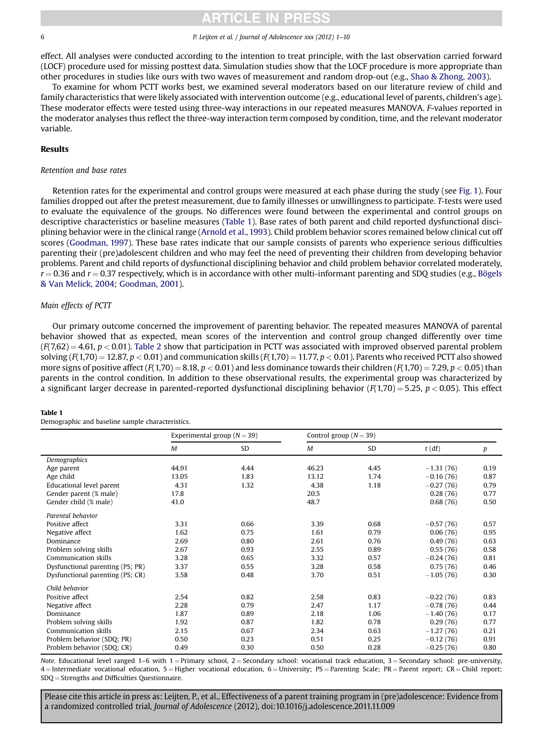# CI E IN PRE

#### 6 P. Leijten et al. / Journal of Adolescence xxx (2012) 1–10

effect. All analyses were conducted according to the intention to treat principle, with the last observation carried forward (LOCF) procedure used for missing posttest data. Simulation studies show that the LOCF procedure is more appropriate than other procedures in studies like ours with two waves of measurement and random drop-out (e.g., [Shao & Zhong, 2003](#page-9-0)).

To examine for whom PCTT works best, we examined several moderators based on our literature review of child and family characteristics that were likely associated with intervention outcome (e.g., educational level of parents, children's age). These moderator effects were tested using three-way interactions in our repeated measures MANOVA. F-values reported in the moderator analyses thus reflect the three-way interaction term composed by condition, time, and the relevant moderator variable.

# Results

# Retention and base rates

Retention rates for the experimental and control groups were measured at each phase during the study (see [Fig. 1](#page-3-0)). Four families dropped out after the pretest measurement, due to family illnesses or unwillingness to participate. T-tests were used to evaluate the equivalence of the groups. No differences were found between the experimental and control groups on descriptive characteristics or baseline measures (Table 1). Base rates of both parent and child reported dysfunctional disciplining behavior were in the clinical range [\(Arnold et al., 1993](#page-8-0)). Child problem behavior scores remained below clinical cut off scores [\(Goodman, 1997\)](#page-8-0). These base rates indicate that our sample consists of parents who experience serious difficulties parenting their (pre)adolescent children and who may feel the need of preventing their children from developing behavior problems. Parent and child reports of dysfunctional disciplining behavior and child problem behavior correlated moderately,  $r = 0.36$  and  $r = 0.37$  respectively, which is in accordance with other multi-informant parenting and SDQ studies (e.g., [Bögels](#page-8-0) [& Van Melick, 2004](#page-8-0); [Goodman, 2001\)](#page-8-0).

### Main effects of PCTT

Our primary outcome concerned the improvement of parenting behavior. The repeated measures MANOVA of parental behavior showed that as expected, mean scores of the intervention and control group changed differently over time  $(F(7,62) = 4.61, p < 0.01)$ . [Table 2](#page-6-0) show that participation in PCTT was associated with improved observed parental problem solving  $(F(1,70) = 12.87, p < 0.01)$  and communication skills  $(F(1,70) = 11.77, p < 0.01)$ . Parents who received PCTT also showed more signs of positive affect  $(F(1,70) = 8.18, p < 0.01)$  and less dominance towards their children  $(F(1,70) = 7.29, p < 0.05)$  than parents in the control condition. In addition to these observational results, the experimental group was characterized by a significant larger decrease in parented-reported dysfunctional disciplining behavior ( $F(1,70) = 5.25$ ,  $p < 0.05$ ). This effect

#### Table 1

Demographic and baseline sample characteristics.

|                                  |       | Experimental group $(N = 39)$ | Control group $(N = 39)$ |           |             |      |  |
|----------------------------------|-------|-------------------------------|--------------------------|-----------|-------------|------|--|
|                                  | M     | <b>SD</b>                     | $\boldsymbol{M}$         | <b>SD</b> | $t$ (df)    | p    |  |
| Demographics                     |       |                               |                          |           |             |      |  |
| Age parent                       | 44.91 | 4.44                          | 46.23                    | 4.45      | $-1.31(76)$ | 0.19 |  |
| Age child                        | 13.05 | 1.83                          | 13.12                    | 1.74      | $-0.16(76)$ | 0.87 |  |
| Educational level parent         | 4.31  | 1.32                          | 4.38                     | 1.18      | $-0.27(76)$ | 0.79 |  |
| Gender parent (% male)           | 17.8  |                               | 20.5                     |           | 0.28(76)    | 0.77 |  |
| Gender child (% male)            | 41.0  |                               | 48.7                     |           | 0.68(76)    | 0.50 |  |
| Parental behavior                |       |                               |                          |           |             |      |  |
| Positive affect                  | 3.31  | 0.66                          | 3.39                     | 0.68      | $-0.57(76)$ | 0.57 |  |
| Negative affect                  | 1.62  | 0.75                          | 1.61                     | 0.79      | 0.06(76)    | 0.95 |  |
| Dominance                        | 2.69  | 0.80                          | 2.61                     | 0.76      | 0.49(76)    | 0.63 |  |
| Problem solving skills           | 2.67  | 0.93                          | 2.55                     | 0.89      | 0.55(76)    | 0.58 |  |
| Communication skills             | 3.28  | 0.65                          | 3.32                     | 0.57      | $-0.24(76)$ | 0.81 |  |
| Dysfunctional parenting (PS; PR) | 3.37  | 0.55                          | 3.28                     | 0.58      | 0.75(76)    | 0.46 |  |
| Dysfunctional parenting (PS; CR) | 3.58  | 0.48                          | 3.70                     | 0.51      | $-1.05(76)$ | 0.30 |  |
| Child behavior                   |       |                               |                          |           |             |      |  |
| Positive affect                  | 2.54  | 0.82                          | 2.58                     | 0.83      | $-0.22(76)$ | 0.83 |  |
| Negative affect                  | 2.28  | 0.79                          | 2.47                     | 1.17      | $-0.78(76)$ | 0.44 |  |
| Dominance                        | 1.87  | 0.89                          | 2.18                     | 1.06      | $-1.40(76)$ | 0.17 |  |
| Problem solving skills           | 1.92  | 0.87                          | 1.82                     | 0.78      | 0.29(76)    | 0.77 |  |
| Communication skills             | 2.15  | 0.67                          | 2.34                     | 0.63      | $-1.27(76)$ | 0.21 |  |
| Problem behavior (SDQ; PR)       | 0.50  | 0.23                          | 0.51                     | 0.25      | $-0.12(76)$ | 0.91 |  |
| Problem behavior (SDQ; CR)       | 0.49  | 0.30                          | 0.50                     | 0.28      | $-0.25(76)$ | 0.80 |  |

Note. Educational level ranged 1-6 with 1 = Primary school, 2 = Secondary school: vocational track education, 3 = Secondary school: pre-university, 4 = Intermediate vocational education, 5 = Higher vocational education, 6 = University; PS = Parenting Scale; PR = Parent report; CR = Child report;  $SDQ =$  Strengths and Difficulties Questionnaire.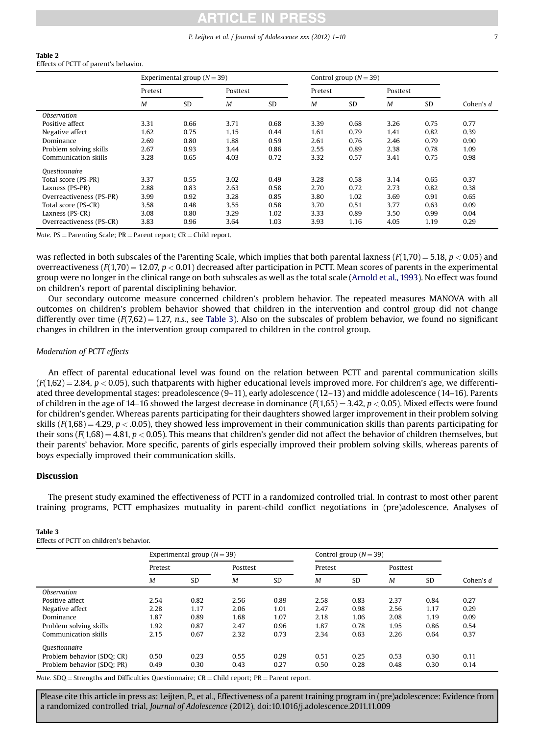### P. Leijten et al. / Journal of Adolescence xxx (2012) 1–10 7

#### <span id="page-6-0"></span>Table 2 Effects of PCTT of parent's behavior.

|                          | Experimental group $(N = 39)$ |           |          |           | Control group $(N = 39)$ |           |          |           |           |
|--------------------------|-------------------------------|-----------|----------|-----------|--------------------------|-----------|----------|-----------|-----------|
|                          | Pretest                       |           | Posttest |           | Pretest                  |           | Posttest |           |           |
|                          | M                             | <b>SD</b> | M        | <b>SD</b> | M                        | <b>SD</b> | M        | <b>SD</b> | Cohen's d |
| <b>Observation</b>       |                               |           |          |           |                          |           |          |           |           |
| Positive affect          | 3.31                          | 0.66      | 3.71     | 0.68      | 3.39                     | 0.68      | 3.26     | 0.75      | 0.77      |
| Negative affect          | 1.62                          | 0.75      | 1.15     | 0.44      | 1.61                     | 0.79      | 1.41     | 0.82      | 0.39      |
| Dominance                | 2.69                          | 0.80      | 1.88     | 0.59      | 2.61                     | 0.76      | 2.46     | 0.79      | 0.90      |
| Problem solving skills   | 2.67                          | 0.93      | 3.44     | 0.86      | 2.55                     | 0.89      | 2.38     | 0.78      | 1.09      |
| Communication skills     | 3.28                          | 0.65      | 4.03     | 0.72      | 3.32                     | 0.57      | 3.41     | 0.75      | 0.98      |
| Questionnaire            |                               |           |          |           |                          |           |          |           |           |
| Total score (PS-PR)      | 3.37                          | 0.55      | 3.02     | 0.49      | 3.28                     | 0.58      | 3.14     | 0.65      | 0.37      |
| Laxness (PS-PR)          | 2.88                          | 0.83      | 2.63     | 0.58      | 2.70                     | 0.72      | 2.73     | 0.82      | 0.38      |
| Overreactiveness (PS-PR) | 3.99                          | 0.92      | 3.28     | 0.85      | 3.80                     | 1.02      | 3.69     | 0.91      | 0.65      |
| Total score (PS-CR)      | 3.58                          | 0.48      | 3.55     | 0.58      | 3.70                     | 0.51      | 3.77     | 0.63      | 0.09      |
| Laxness (PS-CR)          | 3.08                          | 0.80      | 3.29     | 1.02      | 3.33                     | 0.89      | 3.50     | 0.99      | 0.04      |
| Overreactiveness (PS-CR) | 3.83                          | 0.96      | 3.64     | 1.03      | 3.93                     | 1.16      | 4.05     | 1.19      | 0.29      |

Note.  $PS =$  Parenting Scale; PR = Parent report;  $CR =$  Child report.

was reflected in both subscales of the Parenting Scale, which implies that both parental laxness ( $F(1,70) = 5.18$ ,  $p < 0.05$ ) and overreactiveness ( $F(1,70) = 12.07$ ,  $p < 0.01$ ) decreased after participation in PCTT. Mean scores of parents in the experimental group were no longer in the clinical range on both subscales as well as the total scale ([Arnold et al., 1993](#page-8-0)). No effect was found on children's report of parental disciplining behavior.

Our secondary outcome measure concerned children's problem behavior. The repeated measures MANOVA with all outcomes on children's problem behavior showed that children in the intervention and control group did not change differently over time  $(F(7,62) = 1.27, n.s.,$  see Table 3). Also on the subscales of problem behavior, we found no significant changes in children in the intervention group compared to children in the control group.

# Moderation of PCTT effects

An effect of parental educational level was found on the relation between PCTT and parental communication skills  $(F(1,62) = 2.84, p < 0.05)$ , such thatparents with higher educational levels improved more. For children's age, we differentiated three developmental stages: preadolescence (9–11), early adolescence (12–13) and middle adolescence (14–16). Parents of children in the age of 14–16 showed the largest decrease in dominance  $(F(1,65) = 3.42, p < 0.05)$ . Mixed effects were found for children's gender. Whereas parents participating for their daughters showed larger improvement in their problem solving skills ( $F(1,68) = 4.29$ ,  $p < .0.05$ ), they showed less improvement in their communication skills than parents participating for their sons ( $F(1,68) = 4.81$ ,  $p < 0.05$ ). This means that children's gender did not affect the behavior of children themselves, but their parents' behavior. More specific, parents of girls especially improved their problem solving skills, whereas parents of boys especially improved their communication skills.

# Discussion

The present study examined the effectiveness of PCTT in a randomized controlled trial. In contrast to most other parent training programs, PCTT emphasizes mutuality in parent-child conflict negotiations in (pre)adolescence. Analyses of

# Table 3

Effects of PCTT on children's behavior.

|                            | Experimental group ( $N = 39$ ) |           |          | Control group $(N = 39)$ |         |           |          |           |           |
|----------------------------|---------------------------------|-----------|----------|--------------------------|---------|-----------|----------|-----------|-----------|
|                            | Pretest                         |           | Posttest |                          | Pretest |           | Posttest |           |           |
|                            | M                               | <b>SD</b> | M        | <b>SD</b>                | M       | <b>SD</b> | M        | <b>SD</b> | Cohen's d |
| <i><b>Observation</b></i>  |                                 |           |          |                          |         |           |          |           |           |
| Positive affect            | 2.54                            | 0.82      | 2.56     | 0.89                     | 2.58    | 0.83      | 2.37     | 0.84      | 0.27      |
| Negative affect            | 2.28                            | 1.17      | 2.06     | 1.01                     | 2.47    | 0.98      | 2.56     | 1.17      | 0.29      |
| Dominance                  | 1.87                            | 0.89      | 1.68     | 1.07                     | 2.18    | 1.06      | 2.08     | 1.19      | 0.09      |
| Problem solving skills     | 1.92                            | 0.87      | 2.47     | 0.96                     | 1.87    | 0.78      | 1.95     | 0.86      | 0.54      |
| Communication skills       | 2.15                            | 0.67      | 2.32     | 0.73                     | 2.34    | 0.63      | 2.26     | 0.64      | 0.37      |
| Ouestionnaire              |                                 |           |          |                          |         |           |          |           |           |
| Problem behavior (SDQ; CR) | 0.50                            | 0.23      | 0.55     | 0.29                     | 0.51    | 0.25      | 0.53     | 0.30      | 0.11      |
| Problem behavior (SDQ; PR) | 0.49                            | 0.30      | 0.43     | 0.27                     | 0.50    | 0.28      | 0.48     | 0.30      | 0.14      |

Note.  $SDQ =$  Strengths and Difficulties Questionnaire;  $CR =$  Child report; PR = Parent report.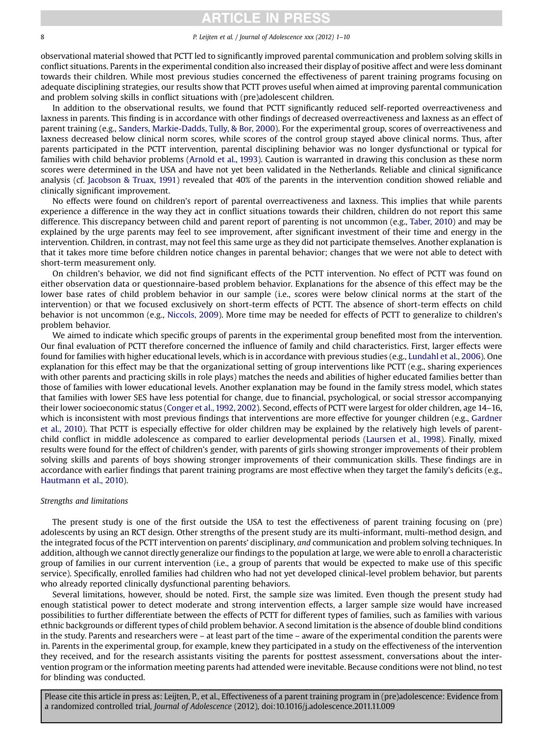# **RTICLE IN PRES**

### 8 P. Leijten et al. / Journal of Adolescence xxx (2012) 1–10

observational material showed that PCTT led to significantly improved parental communication and problem solving skills in conflict situations. Parents in the experimental condition also increased their display of positive affect and were less dominant towards their children. While most previous studies concerned the effectiveness of parent training programs focusing on adequate disciplining strategies, our results show that PCTT proves useful when aimed at improving parental communication and problem solving skills in conflict situations with (pre)adolescent children.

In addition to the observational results, we found that PCTT significantly reduced self-reported overreactiveness and laxness in parents. This finding is in accordance with other findings of decreased overreactiveness and laxness as an effect of parent training (e.g., [Sanders, Markie-Dadds, Tully, & Bor, 2000\)](#page-9-0). For the experimental group, scores of overreactiveness and laxness decreased below clinical norm scores, while scores of the control group stayed above clinical norms. Thus, after parents participated in the PCTT intervention, parental disciplining behavior was no longer dysfunctional or typical for families with child behavior problems [\(Arnold et al., 1993\)](#page-8-0). Caution is warranted in drawing this conclusion as these norm scores were determined in the USA and have not yet been validated in the Netherlands. Reliable and clinical significance analysis (cf. [Jacobson & Truax, 1991](#page-8-0)) revealed that 40% of the parents in the intervention condition showed reliable and clinically significant improvement.

No effects were found on children's report of parental overreactiveness and laxness. This implies that while parents experience a difference in the way they act in conflict situations towards their children, children do not report this same difference. This discrepancy between child and parent report of parenting is not uncommon (e.g., [Taber, 2010](#page-9-0)) and may be explained by the urge parents may feel to see improvement, after significant investment of their time and energy in the intervention. Children, in contrast, may not feel this same urge as they did not participate themselves. Another explanation is that it takes more time before children notice changes in parental behavior; changes that we were not able to detect with short-term measurement only.

On children's behavior, we did not find significant effects of the PCTT intervention. No effect of PCTT was found on either observation data or questionnaire-based problem behavior. Explanations for the absence of this effect may be the lower base rates of child problem behavior in our sample (i.e., scores were below clinical norms at the start of the intervention) or that we focused exclusively on short-term effects of PCTT. The absence of short-term effects on child behavior is not uncommon (e.g., [Niccols, 2009\)](#page-8-0). More time may be needed for effects of PCTT to generalize to children's problem behavior.

We aimed to indicate which specific groups of parents in the experimental group benefited most from the intervention. Our final evaluation of PCTT therefore concerned the influence of family and child characteristics. First, larger effects were found for families with higher educational levels, which is in accordance with previous studies (e.g., [Lundahl et al., 2006\)](#page-8-0). One explanation for this effect may be that the organizational setting of group interventions like PCTT (e.g., sharing experiences with other parents and practicing skills in role plays) matches the needs and abilities of higher educated families better than those of families with lower educational levels. Another explanation may be found in the family stress model, which states that families with lower SES have less potential for change, due to financial, psychological, or social stressor accompanying their lower socioeconomic status ([Conger et al., 1992](#page-8-0), [2002\)](#page-8-0). Second, effects of PCTT were largest for older children, age 14–16, which is inconsistent with most previous findings that interventions are more effective for younger children (e.g., [Gardner](#page-8-0) [et al., 2010](#page-8-0)). That PCTT is especially effective for older children may be explained by the relatively high levels of parentchild conflict in middle adolescence as compared to earlier developmental periods [\(Laursen et al., 1998](#page-8-0)). Finally, mixed results were found for the effect of children's gender, with parents of girls showing stronger improvements of their problem solving skills and parents of boys showing stronger improvements of their communication skills. These findings are in accordance with earlier findings that parent training programs are most effective when they target the family's deficits (e.g., [Hautmann et al., 2010\)](#page-8-0).

# Strengths and limitations

The present study is one of the first outside the USA to test the effectiveness of parent training focusing on (pre) adolescents by using an RCT design. Other strengths of the present study are its multi-informant, multi-method design, and the integrated focus of the PCTT intervention on parents' disciplinary, and communication and problem solving techniques. In addition, although we cannot directly generalize our findings to the population at large, we were able to enroll a characteristic group of families in our current intervention (i.e., a group of parents that would be expected to make use of this specific service). Specifically, enrolled families had children who had not yet developed clinical-level problem behavior, but parents who already reported clinically dysfunctional parenting behaviors.

Several limitations, however, should be noted. First, the sample size was limited. Even though the present study had enough statistical power to detect moderate and strong intervention effects, a larger sample size would have increased possibilities to further differentiate between the effects of PCTT for different types of families, such as families with various ethnic backgrounds or different types of child problem behavior. A second limitation is the absence of double blind conditions in the study. Parents and researchers were – at least part of the time – aware of the experimental condition the parents were in. Parents in the experimental group, for example, knew they participated in a study on the effectiveness of the intervention they received, and for the research assistants visiting the parents for posttest assessment, conversations about the intervention program or the information meeting parents had attended were inevitable. Because conditions were not blind, no test for blinding was conducted.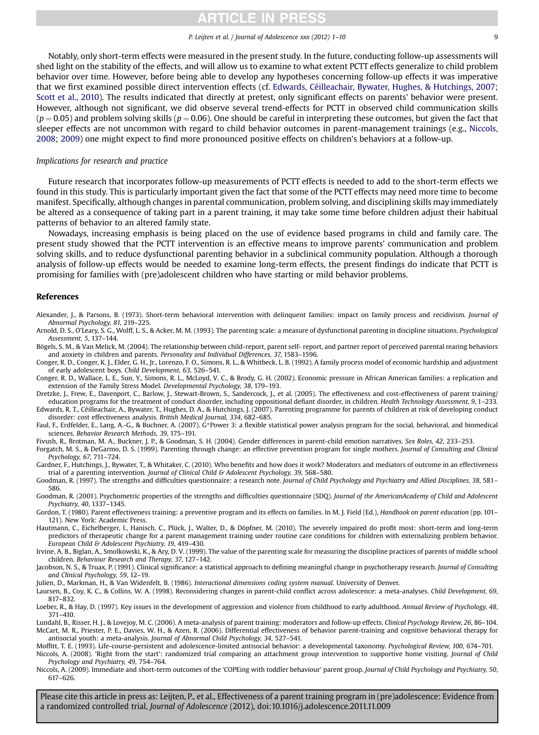# **RTICLE IN PRESS**

#### P. Leijten et al. / Journal of Adolescence xxx (2012) 1–10 9

<span id="page-8-0"></span>Notably, only short-term effects were measured in the present study. In the future, conducting follow-up assessments will shed light on the stability of the effects, and will allow us to examine to what extent PCTT effects generalize to child problem behavior over time. However, before being able to develop any hypotheses concerning follow-up effects it was imperative that we first examined possible direct intervention effects (cf. Edwards, Céilleachair, Bywater, Hughes, & Hutchings, 2007; [Scott et al., 2010](#page-9-0)). The results indicated that directly at pretest, only significant effects on parents' behavior were present. However, although not significant, we did observe several trend-effects for PCTT in observed child communication skills  $(p = 0.05)$  and problem solving skills ( $p = 0.06$ ). One should be careful in interpreting these outcomes, but given the fact that sleeper effects are not uncommon with regard to child behavior outcomes in parent-management trainings (e.g., Niccols, 2008; 2009) one might expect to find more pronounced positive effects on children's behaviors at a follow-up.

#### Implications for research and practice

Future research that incorporates follow-up measurements of PCTT effects is needed to add to the short-term effects we found in this study. This is particularly important given the fact that some of the PCTT effects may need more time to become manifest. Specifically, although changes in parental communication, problem solving, and disciplining skills may immediately be altered as a consequence of taking part in a parent training, it may take some time before children adjust their habitual patterns of behavior to an altered family state.

Nowadays, increasing emphasis is being placed on the use of evidence based programs in child and family care. The present study showed that the PCTT intervention is an effective means to improve parents' communication and problem solving skills, and to reduce dysfunctional parenting behavior in a subclinical community population. Although a thorough analysis of follow-up effects would be needed to examine long-term effects, the present findings do indicate that PCTT is promising for families with (pre)adolescent children who have starting or mild behavior problems.

### References

- Alexander, J., & Parsons, B. (1973). Short-term behavioral intervention with delinquent families: impact on family process and recidivism. Journal of Abnormal Psychology, 81, 219–225.
- Arnold, D. S., O'Leary, S. G., Wolff, L. S., & Acker, M. M. (1993). The parenting scale: a measure of dysfunctional parenting in discipline situations. Psychological Assessment, 5, 137–144.
- Bögels, S. M., & Van Melick, M. (2004). The relationship between child-report, parent self- report, and partner report of perceived parental rearing behaviors and anxiety in children and parents. Personality and Individual Differences, 37, 1583–1596.

Conger, R. D., Conger, K. J., Elder, G. H., Jr., Lorenzo, F. O., Simons, R. L., & Whitbeck, L. B. (1992). A family process model of economic hardship and adjustment of early adolescent boys. Child Development, 63, 526–541.

Conger, R. D., Wallace, L. E., Sun, Y., Simons, R. L., McLoyd, V. C., & Brody, G. H. (2002). Economic pressure in African American families: a replication and extension of the Family Stress Model. Developmental Psychology, 38, 179–193.

Dretzke, J., Frew, E., Davenport, C., Barlow, J., Stewart-Brown, S., Sandercock, J., et al. (2005). The effectiveness and cost-effectiveness of parent training/ education programs for the treatment of conduct disorder, including oppositional defiant disorder, in children. Health Technology Assessment, 9, 1–233. Edwards, R. T., Céilleachair, A., Bywater, T., Hughes, D. A., & Hutchings, J. (2007). Parenting programme for parents of children at risk of developing conduct

disorder: cost effectiveness analysis. British Medical Journal, 334, 682–685. Faul, F., Erdfelder, E., Lang, A.-G., & Buchner, A. (2007). G\*Power 3: a flexible statistical power analysis program for the social, behavioral, and biomedical sciences. Behavior Research Methods, 39, 175–191.

Fivush, R., Brotman, M. A., Buckner, J. P., & Goodman, S. H. (2004). Gender differences in parent-child emotion narratives. Sex Roles, 42, 233–253.

Forgatch, M. S., & DeGarmo, D. S. (1999). Parenting through change: an effective prevention program for single mothers. Journal of Consulting and Clinical Psychology, 67, 711–724.

Gardner, F., Hutchings, J., Bywater, T., & Whitaker, C. (2010). Who benefits and how does it work? Moderators and mediators of outcome in an effectiveness trial of a parenting intervention. Journal of Clinical Child & Adolescent Psychology, 39, 568-580.

Goodman, R. (1997). The strengths and difficulties questionnaire: a research note. Journal of Child Psychology and Psychiatry and Allied Disciplines, 38, 581– 586.

Goodman, R. (2001). Psychometric properties of the strengths and difficulties questionnaire (SDQ). Journal of the AmericanAcademy of Child and Adolescent Psychiatry, 40, 1337–1345.

Gordon, T. (1980). Parent effectiveness training: a preventive program and its effects on families. In M. J. Field (Ed.), Handbook on parent education (pp. 101– 121). New York: Academic Press.

Hautmann, C., Eichelberger, I., Hanisch, C., Plück, J., Walter, D., & Döpfner, M. (2010). The severely impaired do profit most: short-term and long-term predictors of therapeutic change for a parent management training under routine care conditions for children with externalizing problem behavior. European Child & Adolescent Psychiatry, 19, 419–430.

Irvine, A. B., Biglan, A., Smolkowski, K., & Ary, D. V. (1999). The value of the parenting scale for measuring the discipline practices of parents of middle school children. Behaviour Research and Therapy, 37, 127–142.

Jacobson, N. S., & Truax, P. (1991). Clinical significance: a statistical approach to defining meaningful change in psychotherapy research. Journal of Consulting and Clinical Psychology, 59, 12–19.

Julien, D., Markman, H., & Van Widenfelt, B. (1986). Interactional dimensions coding system manual. University of Denver.

Laursen, B., Coy, K. C., & Collins, W. A. (1998). Reconsidering changes in parent-child conflict across adolescence: a meta-analyses. Child Development, 69, 817–832.

Loeber, R., & Hay, D. (1997). Key issues in the development of aggression and violence from childhood to early adulthood. Annual Review of Psychology, 48, 371–410.

Lundahl, B., Risser, H. J., & Lovejoy, M. C. (2006). A meta-analysis of parent training: moderators and follow-up effects. Clinical Psychology Review, 26, 86–104. McCart, M. R., Priester, P. E., Davies, W. H., & Azen, R. (2006). Differential effectiveness of behavior parent-training and cognitive behavioral therapy for antisocial youth: a meta-analysis. Journal of Abnormal Child Psychology, 34, 527–541.

Moffitt, T. E. (1993). Life-course-persistent and adolescence-limited antisocial behavior: a developmental taxonomy. Psychological Review, 100, 674–701. Niccols, A. (2008). 'Right from the start': randomized trial comparing an attachment group intervention to supportive home visiting. Journal of Child

Psychology and Psychiatry, 49, 754–764. Niccols, A. (2009). Immediate and short-term outcomes of the 'COPEing with toddler behaviour' parent group. Journal of Child Psychology and Psychiatry, 50, 617–626.